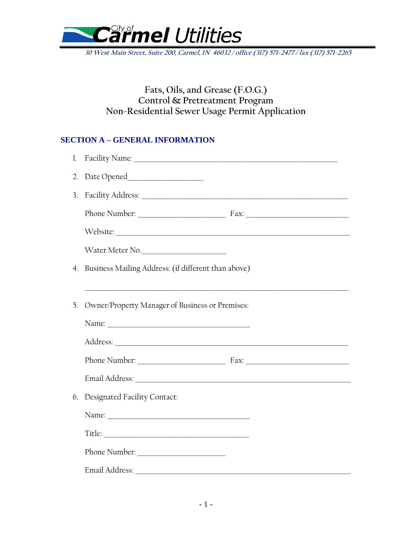

**30 West Main Street, Suite 200, Carmel, IN 46032 / office (317) 571-2477 / fax (317) 571-2265**

## **Fats, Oils, and Grease (F.O.G.) Control & Pretreatment Program Non-Residential Sewer Usage Permit Application**

### **SECTION A – GENERAL INFORMATION**

| 2. |                                                        |
|----|--------------------------------------------------------|
| 3. |                                                        |
|    |                                                        |
|    |                                                        |
|    | Water Meter No.                                        |
|    | 4. Business Mailing Address: (if different than above) |
|    |                                                        |
| 5. | Owner/Property Manager of Business or Premises:        |
|    |                                                        |
|    |                                                        |
|    |                                                        |
|    |                                                        |
| 6. | Designated Facility Contact:                           |
|    |                                                        |
|    |                                                        |
|    |                                                        |
|    |                                                        |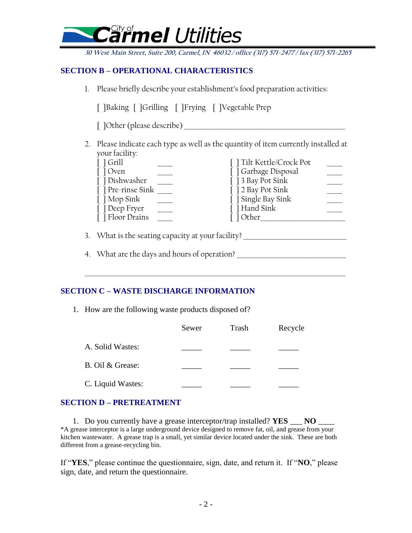# nel Utilities

**30 West Main Street, Suite 200, Carmel, IN 46032 / office (317) 571-2477 / fax (317) 571-2265**

### **SECTION B – OPERATIONAL CHARACTERISTICS**

1. Please briefly describe your establishment's food preparation activities:

|  |  |  | [ ]Baking [ ]Grilling [ ]Frying [ ]Vegetable Prep |
|--|--|--|---------------------------------------------------|
|--|--|--|---------------------------------------------------|

[ ]Other (please describe)

2. Please indicate each type as well as the quantity of item currently installed at your facility:

| $\lceil$ $\lceil$ Grill | [] Tilt Kettle/Crock Pot |  |
|-------------------------|--------------------------|--|
| [ ] Oven                | [ ] Garbage Disposal     |  |
| [] Dishwasher           | [ ] 3 Bay Pot Sink       |  |
| [] Pre-rinse Sink       | [ ] 2 Bay Pot Sink       |  |
| [ ] Mop Sink            | [ ] Single Bay Sink      |  |
| [] Deep Fryer           | [ ] Hand Sink            |  |
| [ ] Floor Drains        | [] Other                 |  |

\_\_\_\_\_\_\_\_\_\_\_\_\_\_\_\_\_\_\_\_\_\_\_\_\_\_\_\_\_\_\_\_\_\_\_\_\_\_\_\_\_\_\_\_\_\_\_\_\_\_\_\_\_\_\_\_\_\_\_\_\_\_\_\_\_\_\_\_\_\_\_\_\_\_\_\_\_\_\_\_\_\_\_\_\_\_

3. What is the seating capacity at your facility?

4. What are the days and hours of operation?

### **SECTION C – WASTE DISCHARGE INFORMATION**

1. How are the following waste products disposed of?

|                   | Sewer | Trash | Recycle |
|-------------------|-------|-------|---------|
| A. Solid Wastes:  |       |       |         |
| B. Oil & Grease:  |       |       |         |
| C. Liquid Wastes: |       |       |         |

#### **SECTION D – PRETREATMENT**

1. Do you currently have a grease interceptor/trap installed? **YES** \_\_\_ **NO** \_\_\_ \*A grease interceptor is a large underground device designed to remove fat, oil, and grease from your kitchen wastewater. A grease trap is a small, yet similar device located under the sink. These are both different from a grease-recycling bin.

If "**YES**," please continue the questionnaire, sign, date, and return it. If "**NO**," please sign, date, and return the questionnaire.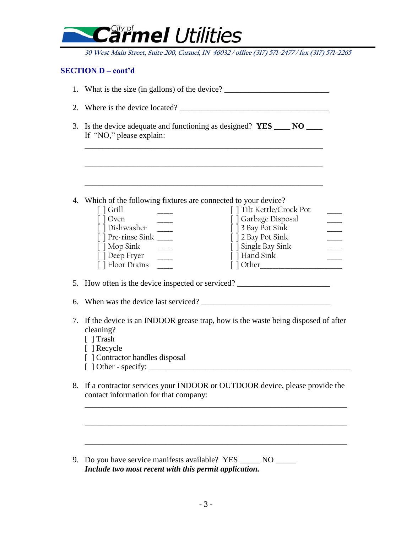

**30 West Main Street, Suite 200, Carmel, IN 46032 / office (317) 571-2477 / fax (317) 571-2265**

#### **SECTION D – cont'd**

|    | 1. What is the size (in gallons) of the device? _________________________________                                                                                                                                                                                                    |  |  |
|----|--------------------------------------------------------------------------------------------------------------------------------------------------------------------------------------------------------------------------------------------------------------------------------------|--|--|
|    |                                                                                                                                                                                                                                                                                      |  |  |
|    | 3. Is the device adequate and functioning as designed? $YES$ ____ NO ____<br>If "NO," please explain:                                                                                                                                                                                |  |  |
|    | 4. Which of the following fixtures are connected to your device?                                                                                                                                                                                                                     |  |  |
|    | [ ] Tilt Kettle/Crock Pot<br>$\lceil$ $\lceil$ Grill<br>[ ] Garbage Disposal<br>[ ] Oven<br>[ ] 3 Bay Pot Sink<br>[ ] 2 Bay Pot Sink<br>[] Pre-rinse Sink<br>$\lceil \cdot \rceil$ Mop Sink<br>[ ] Single Bay Sink<br>[ ] Hand Sink<br>[] Deep Fryer _____<br>[ ] Floor Drains _____ |  |  |
|    | 5. How often is the device inspected or serviced?                                                                                                                                                                                                                                    |  |  |
| 6. |                                                                                                                                                                                                                                                                                      |  |  |
|    | 7. If the device is an INDOOR grease trap, how is the waste being disposed of after<br>cleaning?<br>[ ] Trash<br>[ ] Recycle<br>[ ] Contractor handles disposal                                                                                                                      |  |  |
| 8. | If a contractor services your INDOOR or OUTDOOR device, please provide the<br>contact information for that company:                                                                                                                                                                  |  |  |
|    |                                                                                                                                                                                                                                                                                      |  |  |
| 9. | NO                                                                                                                                                                                                                                                                                   |  |  |